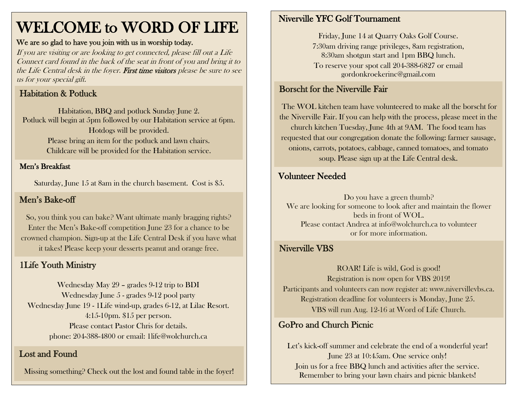# WELCOME to WORD OF LIFE

#### We are so glad to have you join with us in worship today.

If you are visiting or are looking to get connected, please fill out a Life Connect card found in the back of the seat in front of you and bring it to the Life Central desk in the foyer. First time visitors please be sure to see us for your special gift.

## Habitation & Potluck

Habitation, BBQ and potluck Sunday June 2. Potluck will begin at 5pm followed by our Habitation service at 6pm. Hotdogs will be provided. Please bring an item for the potluck and lawn chairs. Childcare will be provided for the Habitation service.

### Men's Breakfast

Saturday, June 15 at 8am in the church basement. Cost is \$5.

### Men's Bake-off

So, you think you can bake? Want ultimate manly bragging rights? Enter the Men's Bake-off competition June 23 for a chance to be crowned champion. Sign-up at the Life Central Desk if you have what it takes! Please keep your desserts peanut and orange free.

### 1Life Youth Ministry

Wednesday May 29 – grades 9-12 trip to BDI Wednesday June 5 - grades 9-12 pool party Wednesday June 19 - 1Life wind-up, grades 6-12, at Lilac Resort. 4:15-10pm. \$15 per person. Please contact Pastor Chris for details. phone: 204-388-4800 or email: 1life@wolchurch.ca

#### Lost and Found

Missing something? Check out the lost and found table in the foyer!

#### Niverville YFC Golf Tournament

Friday, June 14 at Quarry Oaks Golf Course. 7:30am driving range privileges, 8am registration, 8:30am shotgun start and 1pm BBQ lunch. To reserve your spot call 204-388-6827 or email gordonkroekerinc@gmail.com

# Borscht for the Niverville Fair

The WOL kitchen team have volunteered to make all the borscht for the Niverville Fair. If you can help with the process, please meet in the church kitchen Tuesday, June 4th at 9AM. The food team has requested that our congregation donate the following: farmer sausage, onions, carrots, potatoes, cabbage, canned tomatoes, and tomato soup. Please sign up at the Life Central desk.

#### Volunteer Needed

Do you have a green thumb? We are looking for someone to look after and maintain the flower beds in front of WOL. Please contact Andrea at [info@wolchurch.ca](mailto:info@wolchurch.ca) to volunteer or for more information.

#### Niverville VBS

ROAR! Life is wild, God is good! Registration is now open for VBS 2019! Participants and volunteers can now register at: www.nivervillevbs.ca. Registration deadline for volunteers is Monday, June 25. VBS will run Aug. 12-16 at Word of Life Church.

### GoPro and Church Picnic

Let's kick-off summer and celebrate the end of a wonderful year! June 23 at 10:45am. One service only! Join us for a free BBQ lunch and activities after the service. Remember to bring your lawn chairs and picnic blankets!